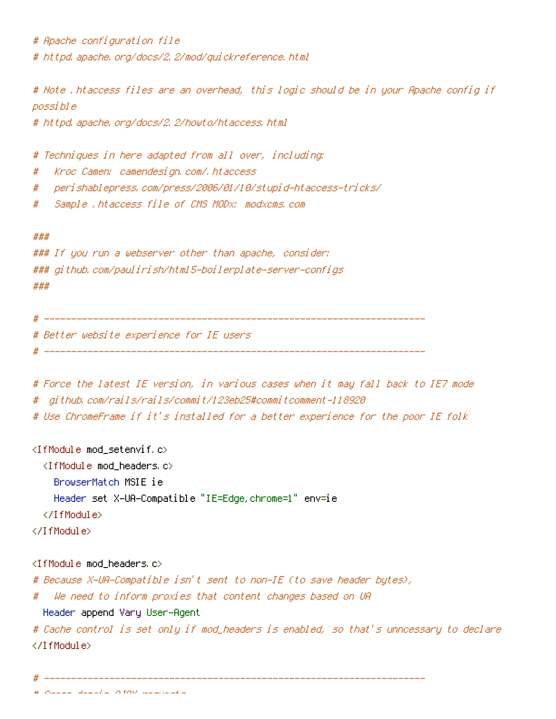# Apache configuration file # httpd, apache, org/docs/2, 2/mod/guickreference, html

# Note .htaccess files are an overhead, this logic should be in your Apache config if possi bl e

# httpd, apache, org/docs/2, 2/howto/htaccess, html

# Techniques in here adapted from all over, including:

- Kroc Camen: camendesign.com/.htaccess #
- perishablepress, com/press/2006/01/10/stupid-htaccess-tricks/ #
- # Sample .htaccess file of CMS MODx: modxcms.com

#### ###

```
### If you run a webserver other than apache, consider:
### github, com/paulirish/html5-boilerplate-server-configs
###
```
# Better website experience for IE users

```
# Force the latest IE version, in various cases when it may fall back to IE7 mode
```
- # github.com/rails/rails/commit/123eb25#commitcomment-118920
- # Use ChromeFrame if it's installed for a better experience for the poor IE folk

## <IfModule mod\_setenvif.c>

- <IfModule mod headers.c>
	- BrowserMatch MSIE ie

Header set X-UA-Compatible "IE=Edge, chrome=1" env=ie

</IfModule>

</TfModule>

### <IfModule mod\_headers.c>

- # Because X-UA-Compatible isn't sent to non-IE (to save header butes),
- We need to inform proxies that content changes based on UR  $#$ 
	- Header append Vary User-Agent

# Cache control is set only if mod\_headers is enabled, so that's unncessary to declare </TifModule>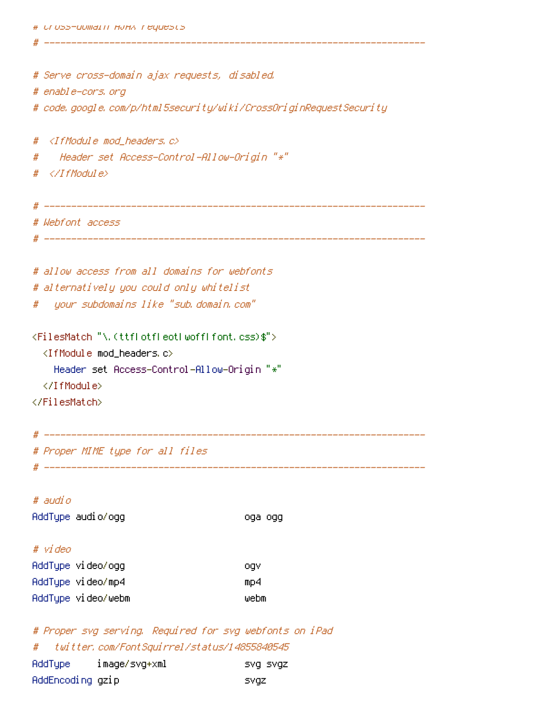# Serve cross-domain ajax requests, disabled. # enable-cors, org # code, google, com/p/html5security/wiki/CrossOriginRequestSecurity #  $\langle$ IfModule mod headers,  $c \rangle$ " Header set Access-Control-Allow-Origin "\*"  $#$ #  $\langle$ /IfModule $\rangle$ \_\_\_\_\_\_\_\_\_\_\_\_ # Webfont access # allow access from all domains for webfonts # alternatively you could only whitelist upur subdomains like "sub domain com" # <FilesMatch "\.(ttflotfleotlwofflfont.css)\$">  $\langle$ IfModule mod headers, c $\rangle$ Header set Access-Control-Allow-Origin "\*" </IfModule> </FilesMatch> # Proper MIME type for all files 

### # audio AddType audio/ogg oga ogg # video AddType video/ogg ogv AddType video/mp4  $mD4$ AddTupe video/webm webm

# Proper svg serving. Required for svg webfonts on iPad twitter, com/FontSquirrel/status/14855840545 # AddType image/svg+xml SVg SVgz AddEncoding gzip **SVQZ**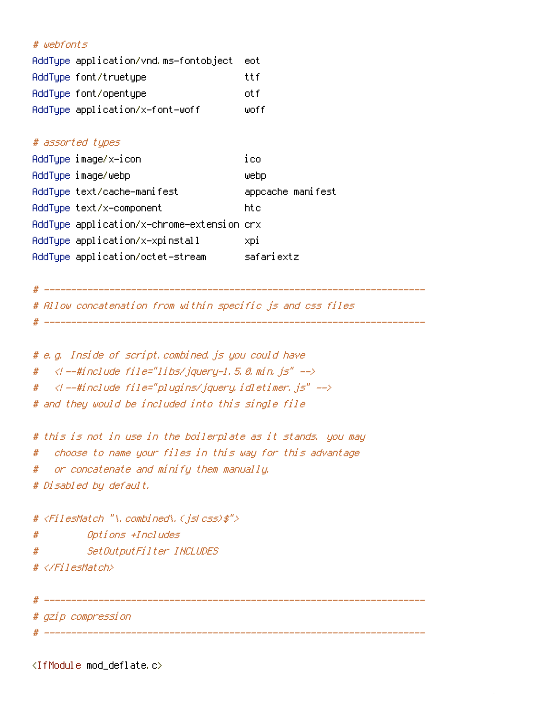# # webfonts

| AddTupe application/vnd.ms-fontobject | eot  |
|---------------------------------------|------|
| AddType font/truetype                 | ttf  |
| AddType font/opentype                 | otfi |
| AddType application/x-font-woff       | woff |

# # assorted types

| AddType image/x-icon                       | ico               |
|--------------------------------------------|-------------------|
| AddTupe image/webp                         | webp              |
| AddTupe text/cache-manifest                | appcache manifest |
| AddType text/x-component                   | htc               |
| AddType application/x-chrome-extension crx |                   |
| AddType application/x-xpinstall            | xpi               |
| AddType application/octet-stream           | safariextz        |

```
#
```

```
# Allow concatenation from within specific js and css files
```

```
# e.g. Inside of script, combined, js you could have
```
- $\langle$  --#include file="libs/jquery-1.5.0.min.js" --> #
- $\prec$ / --#include file="plugins/jquery.idletimer.js" --> #

# and they would be included into this single file

# this is not in use in the boilerplate as it stands, you may

```
choose to name your files in this way for this advantage
#
```
or concatenate and minify them manually. #

# Disabled by default,

```
# <FilesMatch "\, combined\, (jslcss)$">
#
       Options +Includes
  SetOutputFilter INCLUDES
#
# </FilesMatch>
```

```
# gzip compression
```
<IfModule mod\_deflate.c>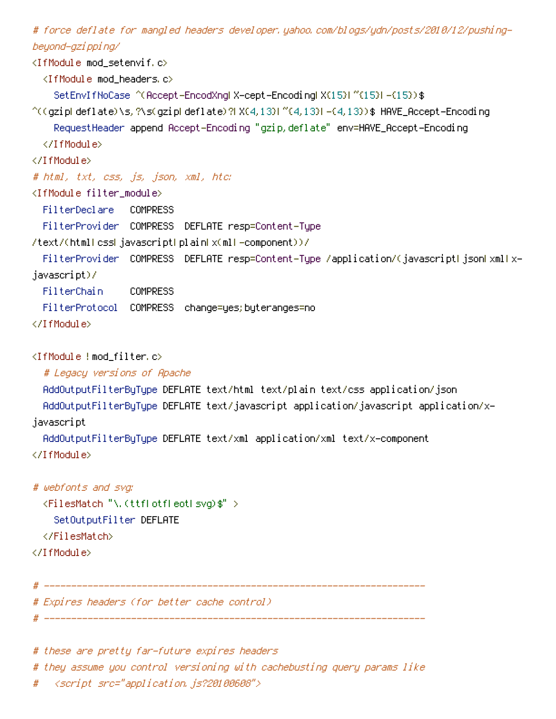# force deflate for mangled headers developer,yahoo,com/blogs/ydn/posts/2010/12/pushingbeyond-gzi ppi ng/

<IfModule mod setenvif.c>  $\langle$ IfModule mod headers, c $\rangle$ SetEnvIfNoCase ^(Accept-EncodXngl X-cept-Encodingl X(15)1 ^(15)1-(15)) \$ ^((gziplideflate)\s,?\s(gziplideflate)?|X(4,13)|^{4,13}|-{4,13})\$ HAVE\_Accept-Encoding Request Header append Accept-Encoding "gzip, deflate" env=HAVE\_Accept-Encoding </IfModule> </IfModule> # html, txt, ess, js, json, xml, htc: <IfModule filter\_module> FilterDeclare COMPRESS FilterProvider COMPRESS DEFLATE resp=Content-Tupe /text/(htmllcssljavascriptlplainkx(mll-component))/ FilterProvider COMPRESS DEFLATE resp=Content-Type /application/(javascriptHjsonHxmlHxjavascript)/ FilterChain COMPRESS FilterProtocol COMPRESS change=yes; byteranges=no </TfModule>  $\langle$ IfModule !mod filter.c $\rangle$ # Legacy versions of Apache

AddOutputFilterByType DEFLATE text/html text/plain text/css application/json AddOutputFilterBuTupe DEFLATE text/javascript application/javascript application/xjavascript

AddOutputFilterBuTupe DEFLATE text/xml application/xml text/x-component </IfModule>

# webfonts and svg: <FilesMatch "\.(ttflotfleotlsvg)\$" > SetOutputFilter DEFLATE </FilesMatch> </IfModule>

# Expires headers (for better cache control).

# these are pretty far-future expires headers

# they assume you control versioning with cachebusting query params like

# <script src="application.js?20100608">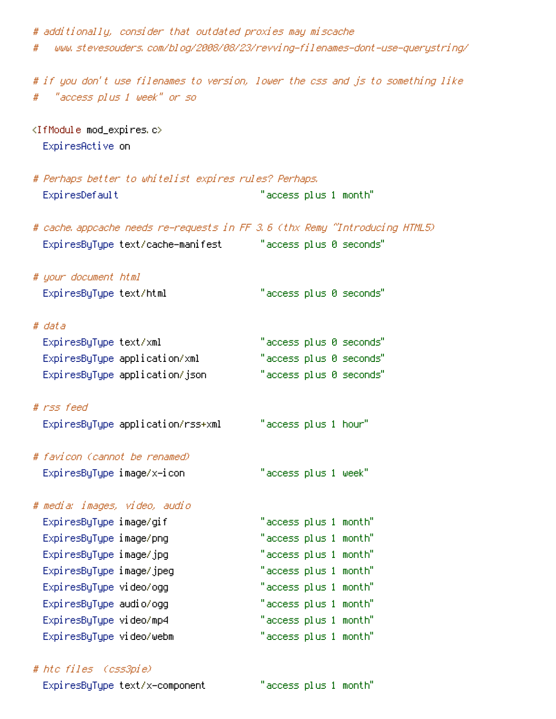# additionally, consider that outdated proxies may miscache www.stevesouders.com/blog/2008/08/23/revving-filenames-dont-use-querystring/ # # if you don't use filenames to version, lower the css and js to something like "access plus 1 week" or so <IfModule mod\_expires.c> ExpiresActive on # Perhaps better to whitelist expires rules? Perhaps, ExpiresDefault "access plus 1 month" # cache appcache needs re-requests in FF 3.6 (thx Remy "Introducing HTML5) ExpiresByType text/cache-manifest "access plus 0 seconds" # your document html "access plus 0 seconds" ExpiresByType text/html # data "access plus 0 seconds" ExpiresByType text/xml "access plus 0 seconds" ExpiresByType application/xml "access plus 0 seconds" ExpiresByType application/json # rss feed ExpiresByType application/rss+xml "access plus 1 hour" # favicon (cannot be renamed)  $"$ access plus 1 week $"$ ExpiresByType image/x-icon # media: images, video, audio "access plus 1 month" ExpiresByType image/gif "access plus 1 month" ExpiresByType image/png "access plus 1 month" ExpiresByType image/jpg "access plus 1 month" ExpiresByType image/jpeg "access plus 1 month" ExpiresByType video/ogg "access plus 1 month" Expi resByType audio/ogg "access plus 1 month" ExpiresByType video/mp4 "access plus 1 month" ExpiresByType video/webm

# htc files (css3pie)

ExpiresByType text/x-component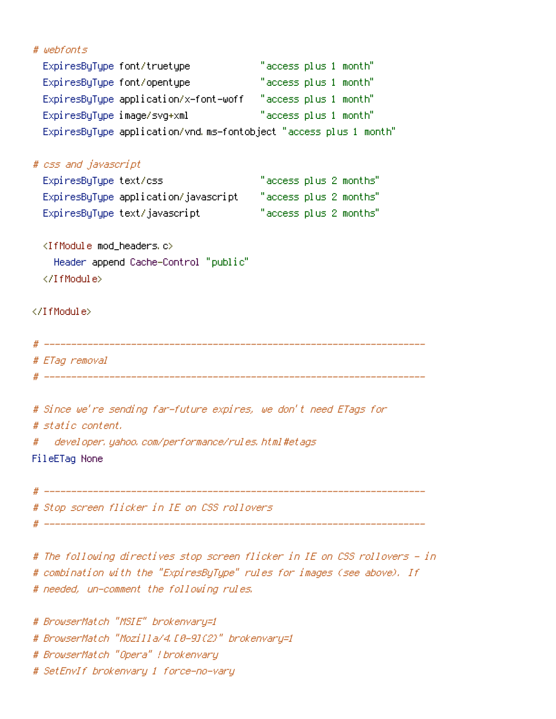```
# webfonts
```

| ExpiresByType font/truetype           | "access plus 1 month"                                             |
|---------------------------------------|-------------------------------------------------------------------|
| ExpiresByType font/opentype           | "access plus 1 month"                                             |
| ExpiresByType application/x-font-woff | "access plus 1 month"                                             |
| ExpiresByType image/svg+xml           | "access plus 1 month"                                             |
|                                       | ExpiresByType application/vnd.ms-fontobject "access plus 1 month" |

| # css and javascript                 |                        |
|--------------------------------------|------------------------|
| ExpiresByType text/css               | "access plus 2 months" |
| ExpiresByType application/javascript | "access plus 2 months" |
| ExpiresByType text/javascript        | "access plus 2 months" |

<IfModule mod\_headers.c> Header append Cache-Control "public" </IfModule>

</IfModule>

# ETag removal 

| # Since we're sending far-future expires, we don't need ETags for |
|-------------------------------------------------------------------|
| # static content.                                                 |
| # developer, yahoo, com/performance/rules, html#etags             |

FileETag None

# Stop screen flicker in IE on CSS rollovers

# The following directives stop screen flicker in IE on CSS rollovers - in # combination with the "ExpiresByType" rules for images (see above), If # needed, un-comment the following rules.

# BrowserMatch "MSIE" brokenvary=1 # BrowserMatch "Mozilla/4.10-91(2)" brokenvary=1 # BrowserMatch "Opera" ! brokenvary # SetEnvIf brokenvary 1 force-no-vary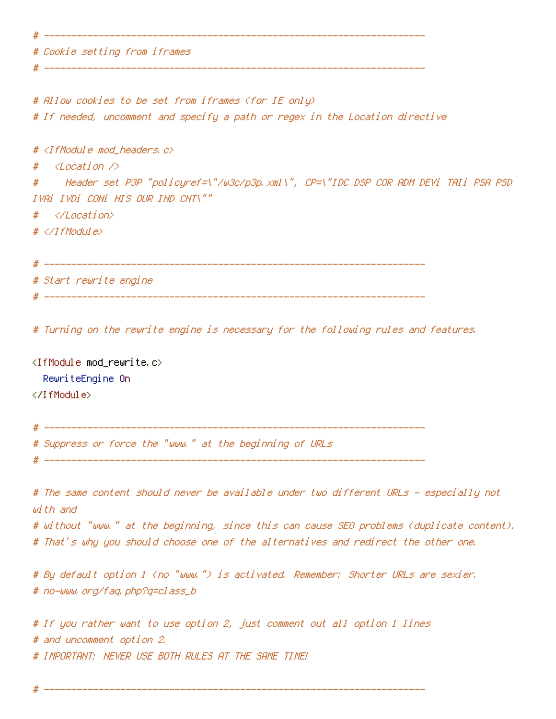# Cookie setting from iframes \_\_\_\_\_\_\_\_\_\_\_\_\_\_\_\_\_\_\_\_\_\_\_\_\_\_\_\_\_\_\_ # Allow cookies to be set from iframes (for IE only) # If needed, uncomment and specify a path or regex in the Location directive # <IfModule mod\_headers.c>  $\langle Location \rangle$  $#$ Header set P3P "policyref=\"/w3c/p3p.xml\", CP=\"IDC DSP COR ADM DEVi TAIi PSA PSD  $#$ IVAI IVDI CONI HIS OUR IND CNT\""  $#$ </Location>  $# \triangle$ /TfModule> # \_\_\_\_\_\_\_\_\_\_\_\_\_\_\_\_ # Start rewrite engine # Turning on the rewrite engine is necessary for the following rules and features. <IfModule mod\_rewrite.c> RewriteEngine On </IfModule> # Suppress or force the "www." at the beginning of URLs # The same content should never be available under two different URLs - especially not with and

# without "www." at the beginning, since this can cause SEO problems (duplicate content). # That's why you should choose one of the alternatives and redirect the other one.

# By default option 1 (no "www.") is activated. Remember: Shorter URLs are sexier. # no-www.org/faq.php?q=class\_b

# If you rather want to use option 2, just comment out all option 1 lines # and uncomment option 2. # IMPORTANT: NEVER USE BOTH RULES AT THE SAME TIME!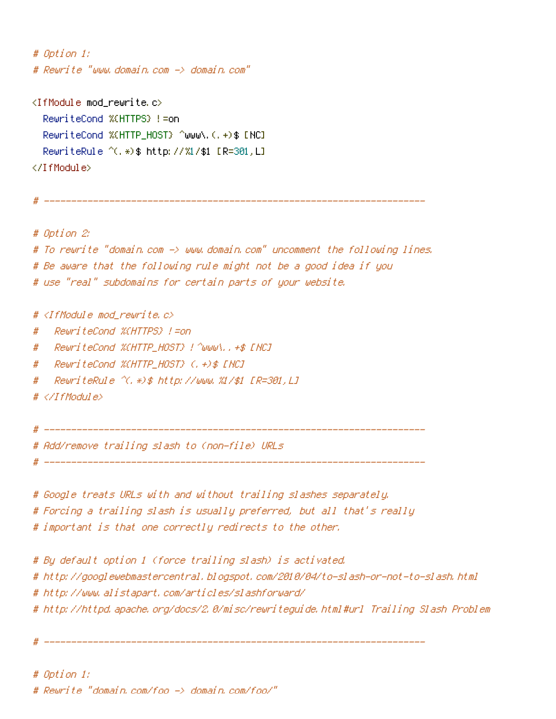# Option 1: # Reurite "www.domain.com -> domain.com"  $\langle$ IfModule mod rewrite.c $\rangle$ RewriteCond %(HTTPS) != on RewriteCond %(HTTP\_HOST) ^www\.(,+)\$ [NC] RewriteRule ^(, \*) \$ http://%1/\$1 [R=301,L] </IfModule> # Option 2: # To rewrite "domain.com -> www.domain.com" uncomment the following lines. # Be aware that the following rule might not be a good idea if you # use "real" subdomains for certain parts of your website. # <IfModule mod rewrite.c> RewriteCond %(HTTPS) !=on # RewriteCond %CHTTP HOST} !^www\..+\$ [NC] # ReuriteCond %CHTTP\_HOST} (, +) \$ [NC] # RewriteRule ^(,\*)\$ http://www.%1/\$1 [R=301,L] #  $# \triangle$ /IfModule> # Add/remove trailing slash to (non-file) URLs # Google treats URLs with and without trailing slashes separately.

# Forcing a trailing slash is usually preferred, but all that's really # important is that one correctly redirects to the other. # By default option 1 (force trailing slash) is activated. # http://googlewebmastercentral.blogspot.com/2010/04/to-slash-or-not-to-slash.html

# http://www.alistapart.com/articles/slashforward/

# http://httpd.apache.org/docs/2.0/misc/rewriteguide.html#url Trailing Slash Problem

# Option 1:

# Reurite "domain.com/foo -> domain.com/foo/"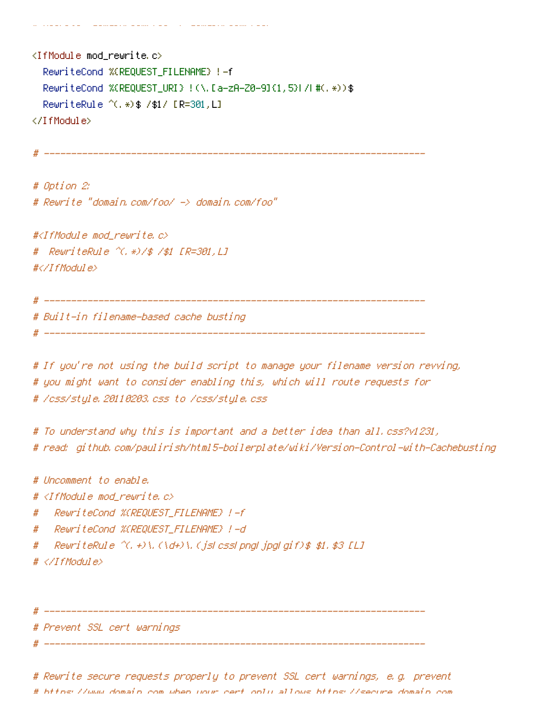and a strong company and the company of the company of the company of the company of the company of the company

<IfModule mod\_rewrite.c> RewriteCond %(REQUEST\_FILENAME) !- f RewriteCond %(REQUEST\_URI) !(\,[a-zA-Z0-9](1,5)|/|#(,\*))\$ RewriteRule ^(, \*) \$ /\$1/ [R=301, L] </IfModule>

# Option 2: # Reurite "domain.com/foo/ -> domain.com/foo"

#<IfModule mod\_rewrite.c> # ReuriteRule ^(,\*)/\$ /\$1 [R=301,L] #</IfModule>

# \_\_\_\_\_\_\_\_\_\_\_ # Built-in filename-based cache busting 

# If you're not using the build script to manage your filename version revving, # you might want to consider enabling this, which will route requests for # /css/style.20110203.css to /css/style.css

# To understand why this is important and a better idea than all.css?v1231, # read: github.com/paulirish/html5-boilerplate/wiki/Version-Control-with-Cachebusting

# Uncomment to enable.

# <IfModule mod\_rewrite.c>

- RewriteCond %(REQUEST\_FILENAME) !-f #
- RewriteCond %(REQUEST\_FILENAME) !-d #
- ReuriteRule  $\hat{\chi}, \hat{\psi}, (\hat{d})$  (  $\hat{d}$  and  $\hat{d}$  )  $\hat{d}$  ,  $\hat{d}$  and  $\hat{d}$  and  $\hat{d}$  and  $\hat{f}$  and  $\hat{g}$  and  $\hat{f}$  and  $\hat{f}$  and  $\hat{f}$  and  $\hat{f}$  and  $\hat{f}$  and  $\hat{f}$  and  $\hat{f}$  and  $\hat{f}$  and #
- $# \langle \angle I$ fModule>

# Prevent SSL cert warnings

# Rewrite secure requests properly to prevent SSL cert warnings, e.g. prevent # https://www.domain.com/when/wour-cert.only/allows-https://secure.domain.com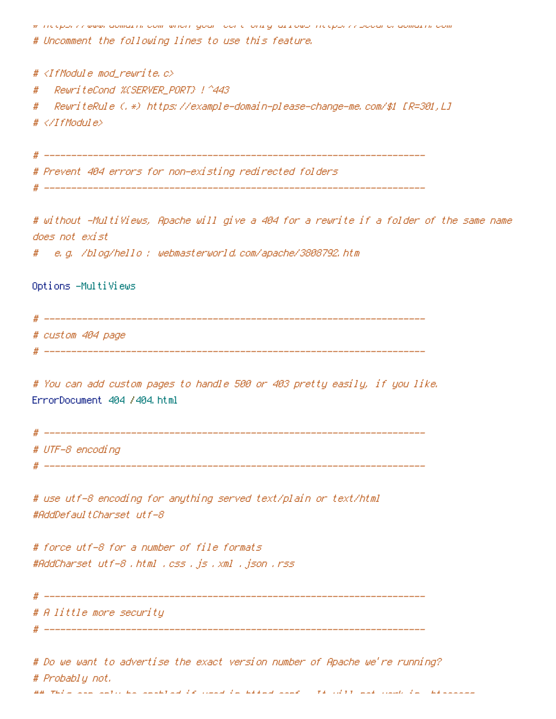The epony newww.admia.html communicity goal fociety of principle integrative power chalomatric com

# Uncomment the following lines to use this feature.

#  $\langle$ IfModule mod rewrite.c>

ReuriteCond %CSERVER PORT} | ^443  $\boldsymbol{\#}$ 

RewriteRule (,\*) https://example-domain-please-change-me.com/\$1 [R=301,L] #  $# \triangle$ /IfModule>

# Prevent 404 errors for non-existing redirected folders.

# without -MultiViews, Apache will give a 404 for a rewrite if a folder of the same name does not exist

e.g. /blog/hello : webmasterworld.com/apache/3808792.htm

Options -MultiViews

# custom 404 page

# You can add custom pages to handle 500 or 403 pretty easily, if you like. ErrorDocument 404 /404.html

# UTF-8 encoding

# use utf-8 encoding for anything served text/plain or text/html #AddDefaultCharset utf-8

# force utf-8 for a number of file formats #AddCharset utf-8 .html .css .js .xml .json .rss

# A little more security

# Do we want to advertise the exact version number of Apache we're running? # Probablu not. aa wadii ili ilikuwa ali ilikuwa da walio da aliang lilia wa wadii waa walio da wadii ali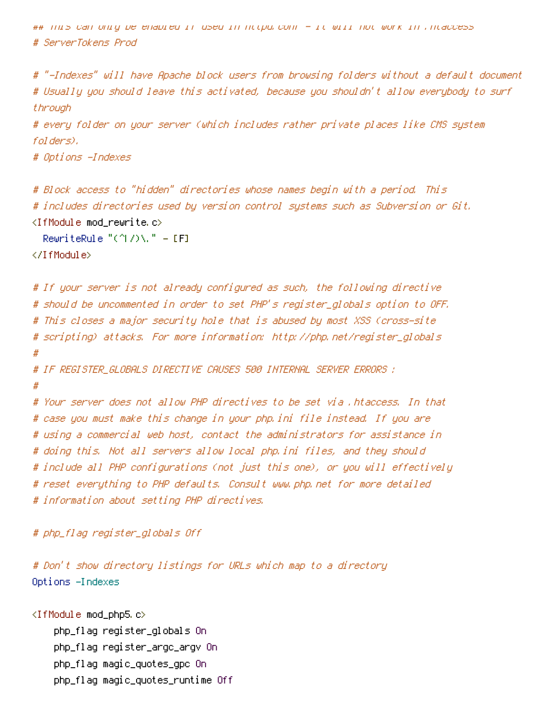ntipo, can only be enabled it used in ntipo,conf – it will not work in ,ntaccess ו- H# (הום ה # ServerTokens Prod

# "-Indexes" will have Apache block users from browsing folders without a default document # Usually you should leave this activated, because you shouldn't allow everybody to surf through

# every folder on your server (which includes rather private places like CMS system folders),

# Options -Indexes

# Block access to "hidden" directories whose names begin with a period. This # includes directories used by version control systems such as Subversion or Git.

 $\langle$ IfModule mod rewrite.c $\rangle$ 

RewriteRule " $($ 1/ $)$ \, " - [F]

</IfModule>

# If your server is not already configured as such, the following directive # should be uncommented in order to set PHP's register\_globals option to OFF. # This closes a major security hole that is abused by most XSS (cross-site # scripting) attacks. For more information: http://php.net/register\_globals #

# IF REGISTER GLOBALS DIRECTIVE CAUSES 500 INTERNAL SERVER ERRORS ; #

# Your server does not allow PHP directives to be set via .htaccess, In that # case you must make this change in your php.ini file instead. If you are # using a commercial web host, contact the administrators for assistance in # doing this. Not all servers allow local php.ini files, and they should # include all PHP configurations (not just this one), or you will effectively # reset everything to PHP defaults. Consult www.php.net for more detailed # information about setting PHP directives.

#### # php\_flag register\_globals Off

# Don't show directory listings for URLs which map to a directory Options -Indexes

<IfModule mod\_php5.c> php\_flaq reqister\_qlobals On php\_flag register\_argc\_argv On php\_flag magic\_quotes\_gpc On php\_flaq maqic\_quotes\_runtime Off